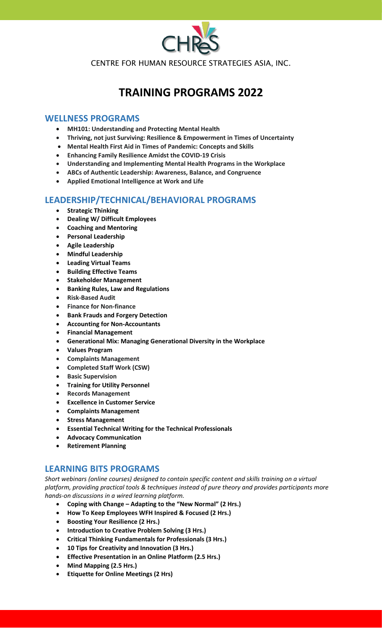

CENTRE FOR HUMAN RESOURCE STRATEGIES ASIA, INC.

# **TRAINING PROGRAMS 2022**

#### **WELLNESS PROGRAMS**

- **MH101: Understanding and Protecting Mental Health**
- **Thriving, not just Surviving: Resilience & Empowerment in Times of Uncertainty**
- **Mental Health First Aid in Times of Pandemic: Concepts and Skills**
- **Enhancing Family Resilience Amidst the COVID-19 Crisis**
- **Understanding and Implementing Mental Health Programs in the Workplace**
- **ABCs of Authentic Leadership: Awareness, Balance, and Congruence** •
- **Applied Emotional Intelligence at Work and Life**

# **LEADERSHIP/TECHNICAL/BEHAVIORAL PROGRAMS**

- **Strategic Thinking**
- **Dealing W/ Difficult Employees**
- **Coaching and Mentoring**
- **Personal Leadership**
- **Agile Leadership**
- **Mindful Leadership**
- **Leading Virtual Teams**
- **Building Effective Teams**
- **Stakeholder Management**
- **Banking Rules, Law and Regulations**
- **Risk-Based Audit**
- **Finance for Non-finance**
- **Bank Frauds and Forgery Detection**
- **Accounting for Non-Accountants**
- **Financial Management**
- **Generational Mix: Managing Generational Diversity in the Workplace**
- **Values Program**
- **Complaints Management**
- **Completed Staff Work (CSW)**
- **Basic Supervision**
- **Training for Utility Personnel**
- **Records Management**
- **Excellence in Customer Service**
- **Complaints Management**
- **Stress Management**
- **Essential Technical Writing for the Technical Professionals**
- **Advocacy Communication**
- **Retirement Planning**

### **LEARNING BITS PROGRAMS**

*Short webinars (online courses) designed to contain specific content and skills training on a virtual platform, providing practical tools & techniques instead of pure theory and provides participants more hands-on discussions in a wired learning platform.*

- **Coping with Change – Adapting to the "New Normal" (2 Hrs.)**
- **How To Keep Employees WFH Inspired & Focused (2 Hrs.)**
- **Boosting Your Resilience (2 Hrs.)**
- **Introduction to Creative Problem Solving (3 Hrs.)**
- **Critical Thinking Fundamentals for Professionals (3 Hrs.)**
- **10 Tips for Creativity and Innovation (3 Hrs.)**
- **Effective Presentation in an Online Platform (2.5 Hrs.)**
- **Mind Mapping (2.5 Hrs.)**
- **Etiquette for Online Meetings (2 Hrs)**